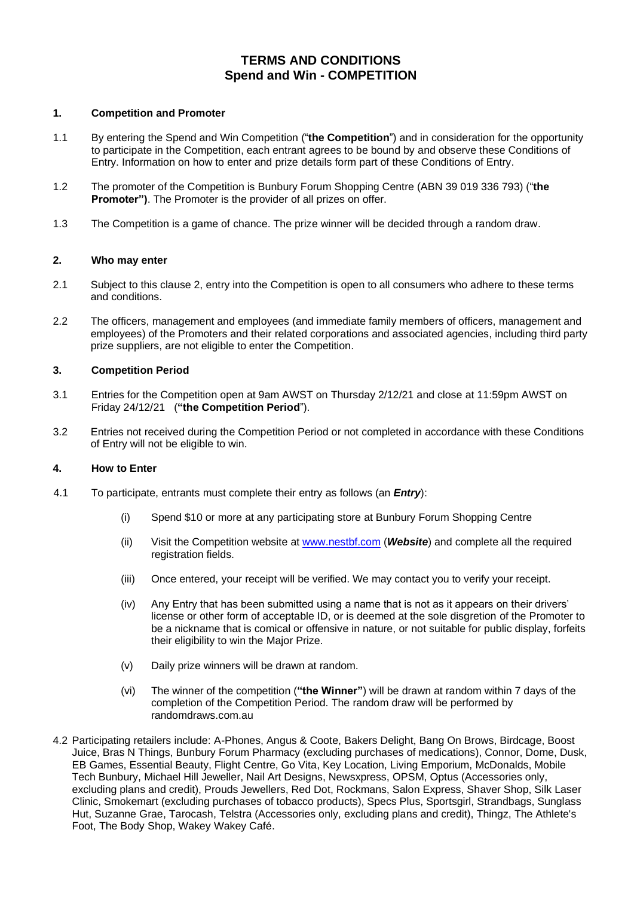# **TERMS AND CONDITIONS Spend and Win - COMPETITION**

# **1. Competition and Promoter**

- 1.1 By entering the Spend and Win Competition ("**the Competition**") and in consideration for the opportunity to participate in the Competition, each entrant agrees to be bound by and observe these Conditions of Entry. Information on how to enter and prize details form part of these Conditions of Entry.
- 1.2 The promoter of the Competition is Bunbury Forum Shopping Centre (ABN 39 019 336 793) ("**the Promoter")**. The Promoter is the provider of all prizes on offer.
- 1.3 The Competition is a game of chance. The prize winner will be decided through a random draw.

#### **2. Who may enter**

- 2.1 Subject to this clause 2, entry into the Competition is open to all consumers who adhere to these terms and conditions.
- 2.2 The officers, management and employees (and immediate family members of officers, management and employees) of the Promoters and their related corporations and associated agencies, including third party prize suppliers, are not eligible to enter the Competition.

#### **3. Competition Period**

- 3.1 Entries for the Competition open at 9am AWST on Thursday 2/12/21 and close at 11:59pm AWST on Friday 24/12/21 (**"the Competition Period**").
- 3.2 Entries not received during the Competition Period or not completed in accordance with these Conditions of Entry will not be eligible to win.

#### **4. How to Enter**

- 4.1 To participate, entrants must complete their entry as follows (an *Entry*):
	- (i) Spend \$10 or more at any participating store at Bunbury Forum Shopping Centre
	- (ii) Visit the Competition website at [www.nestbf.com](http://www.nestbf.com/) (*Website*) and complete all the required registration fields.
	- (iii) Once entered, your receipt will be verified. We may contact you to verify your receipt.
	- (iv) Any Entry that has been submitted using a name that is not as it appears on their drivers' license or other form of acceptable ID, or is deemed at the sole disgretion of the Promoter to be a nickname that is comical or offensive in nature, or not suitable for public display, forfeits their eligibility to win the Major Prize.
	- (v) Daily prize winners will be drawn at random.
	- (vi) The winner of the competition (**"the Winner"**) will be drawn at random within 7 days of the completion of the Competition Period. The random draw will be performed by randomdraws.com.au
- 4.2 Participating retailers include: A-Phones, Angus & Coote, Bakers Delight, Bang On Brows, Birdcage, Boost Juice, Bras N Things, Bunbury Forum Pharmacy (excluding purchases of medications), Connor, Dome, Dusk, EB Games, Essential Beauty, Flight Centre, Go Vita, Key Location, Living Emporium, McDonalds, Mobile Tech Bunbury, Michael Hill Jeweller, Nail Art Designs, Newsxpress, OPSM, Optus (Accessories only, excluding plans and credit), Prouds Jewellers, Red Dot, Rockmans, Salon Express, Shaver Shop, Silk Laser Clinic, Smokemart (excluding purchases of tobacco products), Specs Plus, Sportsgirl, Strandbags, Sunglass Hut, Suzanne Grae, Tarocash, Telstra (Accessories only, excluding plans and credit), Thingz, The Athlete's Foot, The Body Shop, Wakey Wakey Café.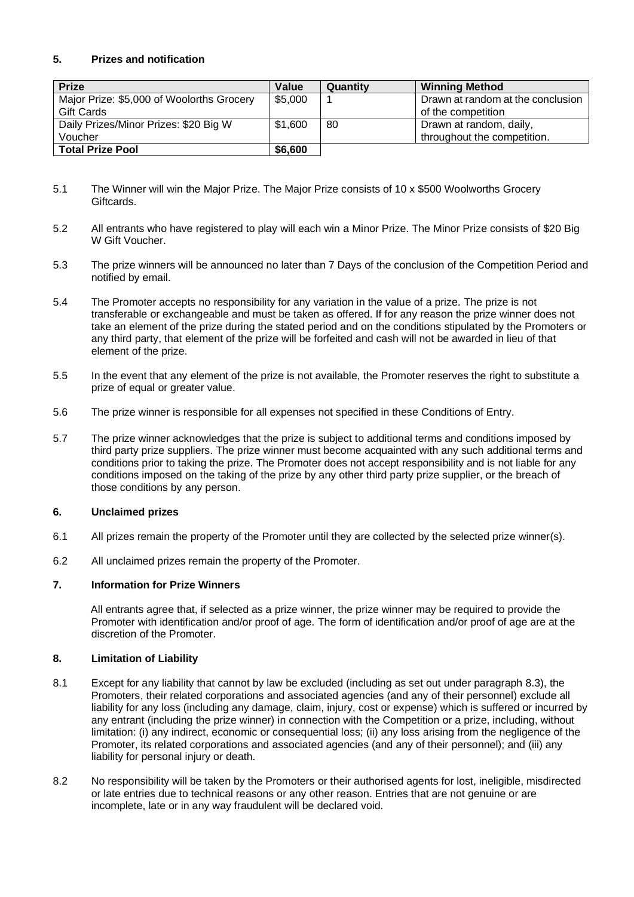# **5. Prizes and notification**

| <b>Prize</b>                              | Value   | Quantity | <b>Winning Method</b>             |
|-------------------------------------------|---------|----------|-----------------------------------|
| Major Prize: \$5,000 of Woolorths Grocery | \$5,000 |          | Drawn at random at the conclusion |
| <b>Gift Cards</b>                         |         |          | of the competition                |
| Daily Prizes/Minor Prizes: \$20 Big W     | \$1,600 | 80       | Drawn at random, daily,           |
| Voucher                                   |         |          | throughout the competition.       |
| <b>Total Prize Pool</b>                   | \$6,600 |          |                                   |

- 5.1 The Winner will win the Major Prize. The Major Prize consists of 10 x \$500 Woolworths Grocery Giftcards.
- 5.2 All entrants who have registered to play will each win a Minor Prize. The Minor Prize consists of \$20 Big W Gift Voucher.
- 5.3 The prize winners will be announced no later than 7 Days of the conclusion of the Competition Period and notified by email.
- 5.4 The Promoter accepts no responsibility for any variation in the value of a prize. The prize is not transferable or exchangeable and must be taken as offered. If for any reason the prize winner does not take an element of the prize during the stated period and on the conditions stipulated by the Promoters or any third party, that element of the prize will be forfeited and cash will not be awarded in lieu of that element of the prize.
- 5.5 In the event that any element of the prize is not available, the Promoter reserves the right to substitute a prize of equal or greater value.
- 5.6 The prize winner is responsible for all expenses not specified in these Conditions of Entry.
- 5.7 The prize winner acknowledges that the prize is subject to additional terms and conditions imposed by third party prize suppliers. The prize winner must become acquainted with any such additional terms and conditions prior to taking the prize. The Promoter does not accept responsibility and is not liable for any conditions imposed on the taking of the prize by any other third party prize supplier, or the breach of those conditions by any person.

## **6. Unclaimed prizes**

- 6.1 All prizes remain the property of the Promoter until they are collected by the selected prize winner(s).
- 6.2 All unclaimed prizes remain the property of the Promoter.

#### **7. Information for Prize Winners**

All entrants agree that, if selected as a prize winner, the prize winner may be required to provide the Promoter with identification and/or proof of age. The form of identification and/or proof of age are at the discretion of the Promoter.

## **8. Limitation of Liability**

- 8.1 Except for any liability that cannot by law be excluded (including as set out under paragraph 8.3), the Promoters, their related corporations and associated agencies (and any of their personnel) exclude all liability for any loss (including any damage, claim, injury, cost or expense) which is suffered or incurred by any entrant (including the prize winner) in connection with the Competition or a prize, including, without limitation: (i) any indirect, economic or consequential loss; (ii) any loss arising from the negligence of the Promoter, its related corporations and associated agencies (and any of their personnel); and (iii) any liability for personal injury or death.
- 8.2 No responsibility will be taken by the Promoters or their authorised agents for lost, ineligible, misdirected or late entries due to technical reasons or any other reason. Entries that are not genuine or are incomplete, late or in any way fraudulent will be declared void.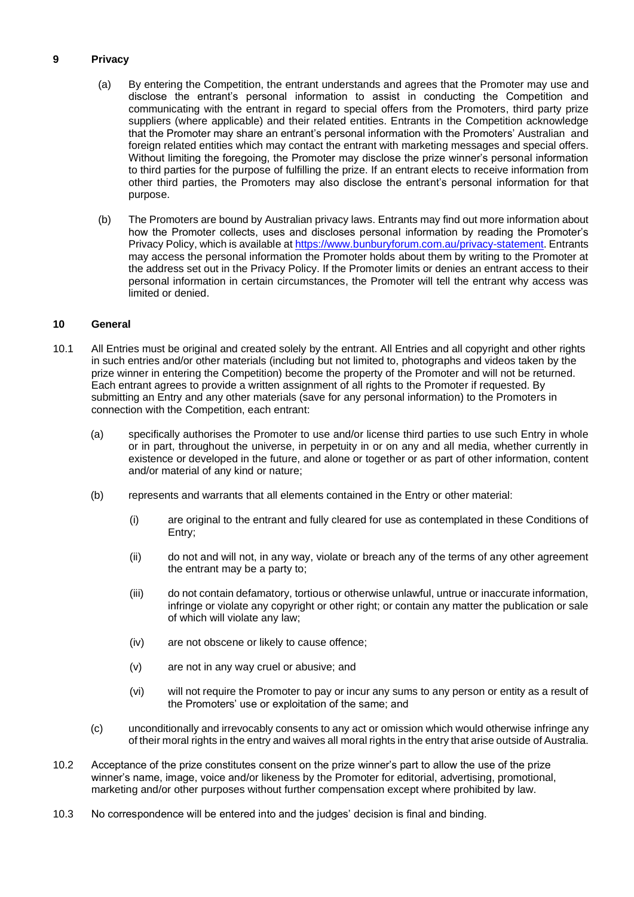# **9 Privacy**

- (a) By entering the Competition, the entrant understands and agrees that the Promoter may use and disclose the entrant's personal information to assist in conducting the Competition and communicating with the entrant in regard to special offers from the Promoters, third party prize suppliers (where applicable) and their related entities. Entrants in the Competition acknowledge that the Promoter may share an entrant's personal information with the Promoters' Australian and foreign related entities which may contact the entrant with marketing messages and special offers. Without limiting the foregoing, the Promoter may disclose the prize winner's personal information to third parties for the purpose of fulfilling the prize. If an entrant elects to receive information from other third parties, the Promoters may also disclose the entrant's personal information for that purpose.
- (b) The Promoters are bound by Australian privacy laws. Entrants may find out more information about how the Promoter collects, uses and discloses personal information by reading the Promoter's Privacy Policy, which is available at [https://www.bunburyforum.com.au/privacy-statement.](https://www.bunburyforum.com.au/privacy-statement) Entrants may access the personal information the Promoter holds about them by writing to the Promoter at the address set out in the Privacy Policy. If the Promoter limits or denies an entrant access to their personal information in certain circumstances, the Promoter will tell the entrant why access was limited or denied.

## **10 General**

- 10.1 All Entries must be original and created solely by the entrant. All Entries and all copyright and other rights in such entries and/or other materials (including but not limited to, photographs and videos taken by the prize winner in entering the Competition) become the property of the Promoter and will not be returned. Each entrant agrees to provide a written assignment of all rights to the Promoter if requested. By submitting an Entry and any other materials (save for any personal information) to the Promoters in connection with the Competition, each entrant:
	- (a) specifically authorises the Promoter to use and/or license third parties to use such Entry in whole or in part, throughout the universe, in perpetuity in or on any and all media, whether currently in existence or developed in the future, and alone or together or as part of other information, content and/or material of any kind or nature;
	- (b) represents and warrants that all elements contained in the Entry or other material:
		- (i) are original to the entrant and fully cleared for use as contemplated in these Conditions of Entry;
		- (ii) do not and will not, in any way, violate or breach any of the terms of any other agreement the entrant may be a party to;
		- (iii) do not contain defamatory, tortious or otherwise unlawful, untrue or inaccurate information, infringe or violate any copyright or other right; or contain any matter the publication or sale of which will violate any law;
		- (iv) are not obscene or likely to cause offence;
		- (v) are not in any way cruel or abusive; and
		- (vi) will not require the Promoter to pay or incur any sums to any person or entity as a result of the Promoters' use or exploitation of the same; and
	- (c) unconditionally and irrevocably consents to any act or omission which would otherwise infringe any of their moral rights in the entry and waives all moral rights in the entry that arise outside of Australia.
- 10.2 Acceptance of the prize constitutes consent on the prize winner's part to allow the use of the prize winner's name, image, voice and/or likeness by the Promoter for editorial, advertising, promotional, marketing and/or other purposes without further compensation except where prohibited by law.
- 10.3 No correspondence will be entered into and the judges' decision is final and binding.